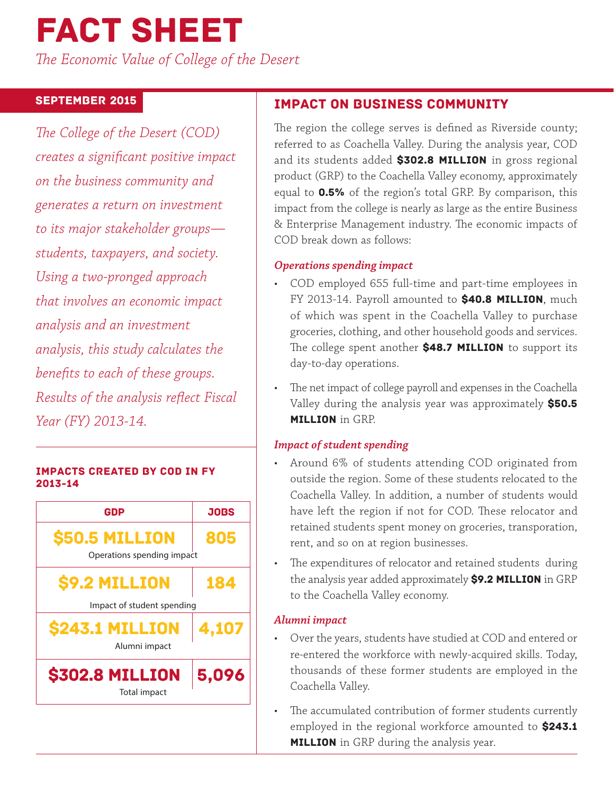# Fact Sheet

*The Economic Value of College of the Desert*

## September 2015

*The College of the Desert (COD) creates a significant positive impact on the business community and generates a return on investment to its major stakeholder groups students, taxpayers, and society. Using a two-pronged approach that involves an economic impact analysis and an investment analysis, this study calculates the benefits to each of these groups. Results of the analysis reflect Fiscal Year (FY) 2013-14.*

#### Impacts created by COD in FY 2013-14



# Impact on Business Community

The region the college serves is defined as Riverside county; referred to as Coachella Valley. During the analysis year, COD and its students added \$302.8 MILLION in gross regional product (GRP) to the Coachella Valley economy, approximately equal to 0.5% of the region's total GRP. By comparison, this impact from the college is nearly as large as the entire Business & Enterprise Management industry. The economic impacts of COD break down as follows:

## *Operations spending impact*

- COD employed 655 full-time and part-time employees in FY 2013-14. Payroll amounted to \$40.8 MILLION, much of which was spent in the Coachella Valley to purchase groceries, clothing, and other household goods and services. The college spent another \$48.7 MILLION to support its day-to-day operations.
- The net impact of college payroll and expenses in the Coachella Valley during the analysis year was approximately \$50.5 **MILLION** in GRP.

#### *Impact of student spending*

- Around 6% of students attending COD originated from outside the region. Some of these students relocated to the Coachella Valley. In addition, a number of students would have left the region if not for COD. These relocator and retained students spent money on groceries, transporation, rent, and so on at region businesses.
- The expenditures of relocator and retained students during the analysis year added approximately \$9.2 MILLION in GRP to the Coachella Valley economy.

## *Alumni impact*

- Over the years, students have studied at COD and entered or re-entered the workforce with newly-acquired skills. Today, thousands of these former students are employed in the Coachella Valley.
- The accumulated contribution of former students currently employed in the regional workforce amounted to \$243.1 **MILLION** in GRP during the analysis year.